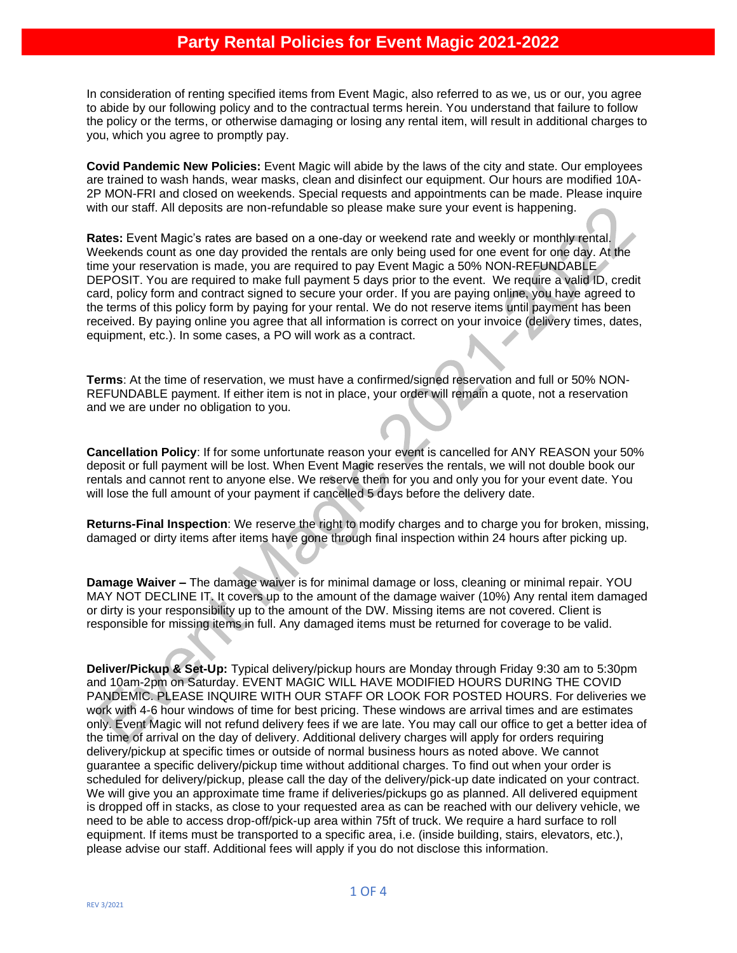In consideration of renting specified items from Event Magic, also referred to as we, us or our, you agree to abide by our following policy and to the contractual terms herein. You understand that failure to follow the policy or the terms, or otherwise damaging or losing any rental item, will result in additional charges to you, which you agree to promptly pay.

**Covid Pandemic New Policies:** Event Magic will abide by the laws of the city and state. Our employees are trained to wash hands, wear masks, clean and disinfect our equipment. Our hours are modified 10A-2P MON-FRI and closed on weekends. Special requests and appointments can be made. Please inquire with our staff. All deposits are non-refundable so please make sure your event is happening.

**Rates:** Event Magic's rates are based on a one-day or weekend rate and weekly or monthly rental. Weekends count as one day provided the rentals are only being used for one event for one day. At the time your reservation is made, you are required to pay Event Magic a 50% NON-REFUNDABLE DEPOSIT. You are required to make full payment 5 days prior to the event. We require a valid ID, credit card, policy form and contract signed to secure your order. If you are paying online, you have agreed to the terms of this policy form by paying for your rental. We do not reserve items until payment has been received. By paying online you agree that all information is correct on your invoice (delivery times, dates, equipment, etc.). In some cases, a PO will work as a contract.

**Terms**: At the time of reservation, we must have a confirmed/signed reservation and full or 50% NON-REFUNDABLE payment. If either item is not in place, your order will remain a quote, not a reservation and we are under no obligation to you.

**Cancellation Policy**: If for some unfortunate reason your event is cancelled for ANY REASON your 50% deposit or full payment will be lost. When Event Magic reserves the rentals, we will not double book our rentals and cannot rent to anyone else. We reserve them for you and only you for your event date. You will lose the full amount of your payment if cancelled 5 days before the delivery date.

**Returns-Final Inspection**: We reserve the right to modify charges and to charge you for broken, missing, damaged or dirty items after items have gone through final inspection within 24 hours after picking up.

**Damage Waiver –** The damage waiver is for minimal damage or loss, cleaning or minimal repair. YOU MAY NOT DECLINE IT. It covers up to the amount of the damage waiver (10%) Any rental item damaged or dirty is your responsibility up to the amount of the DW. Missing items are not covered. Client is responsible for missing items in full. Any damaged items must be returned for coverage to be valid.

**Deliver/Pickup & Set-Up:** Typical delivery/pickup hours are Monday through Friday 9:30 am to 5:30pm and 10am-2pm on Saturday. EVENT MAGIC WILL HAVE MODIFIED HOURS DURING THE COVID PANDEMIC. PLEASE INQUIRE WITH OUR STAFF OR LOOK FOR POSTED HOURS. For deliveries we work with 4-6 hour windows of time for best pricing. These windows are arrival times and are estimates only. Event Magic will not refund delivery fees if we are late. You may call our office to get a better idea of the time of arrival on the day of delivery. Additional delivery charges will apply for orders requiring delivery/pickup at specific times or outside of normal business hours as noted above. We cannot guarantee a specific delivery/pickup time without additional charges. To find out when your order is scheduled for delivery/pickup, please call the day of the delivery/pick-up date indicated on your contract. We will give you an approximate time frame if deliveries/pickups go as planned. All delivered equipment is dropped off in stacks, as close to your requested area as can be reached with our delivery vehicle, we need to be able to access drop-off/pick-up area within 75ft of truck. We require a hard surface to roll equipment. If items must be transported to a specific area, i.e. (inside building, stairs, elevators, etc.), please advise our staff. Additional fees will apply if you do not disclose this information.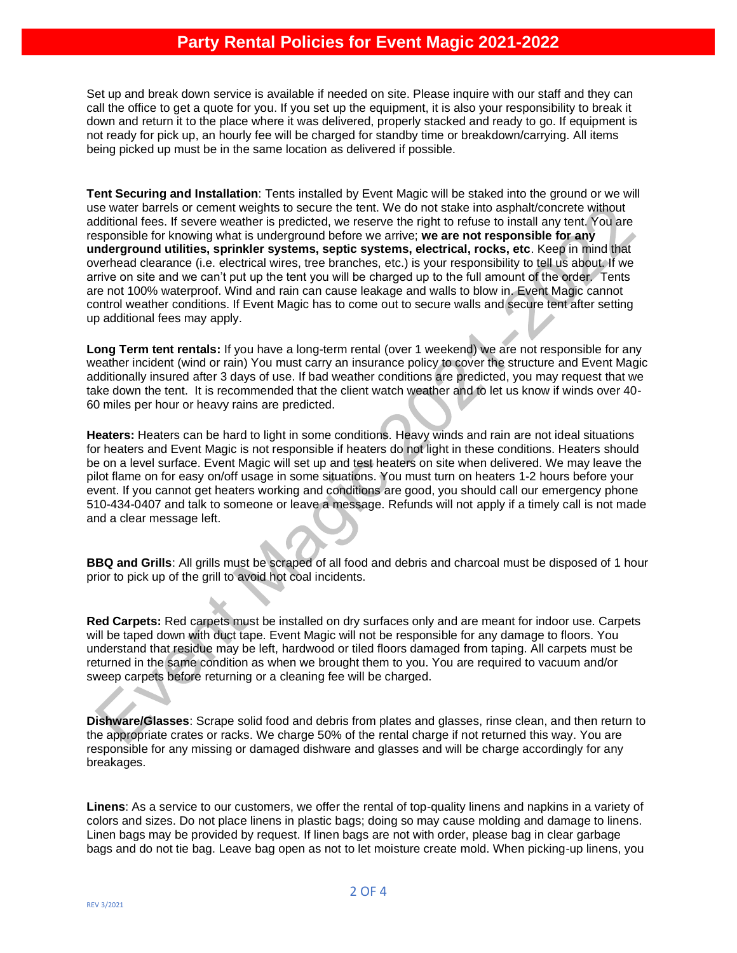## **Party Rental Policies for Event Magic 2021-2022**

Set up and break down service is available if needed on site. Please inquire with our staff and they can call the office to get a quote for you. If you set up the equipment, it is also your responsibility to break it down and return it to the place where it was delivered, properly stacked and ready to go. If equipment is not ready for pick up, an hourly fee will be charged for standby time or breakdown/carrying. All items being picked up must be in the same location as delivered if possible.

**Tent Securing and Installation**: Tents installed by Event Magic will be staked into the ground or we will use water barrels or cement weights to secure the tent. We do not stake into asphalt/concrete without additional fees. If severe weather is predicted, we reserve the right to refuse to install any tent. You are responsible for knowing what is underground before we arrive; **we are not responsible for any underground utilities, sprinkler systems, septic systems, electrical, rocks, etc**. Keep in mind that overhead clearance (i.e. electrical wires, tree branches, etc.) is your responsibility to tell us about. If we arrive on site and we can't put up the tent you will be charged up to the full amount of the order. Tents are not 100% waterproof. Wind and rain can cause leakage and walls to blow in. Event Magic cannot control weather conditions. If Event Magic has to come out to secure walls and secure tent after setting up additional fees may apply.

**Long Term tent rentals:** If you have a long-term rental (over 1 weekend) we are not responsible for any weather incident (wind or rain) You must carry an insurance policy to cover the structure and Event Magic additionally insured after 3 days of use. If bad weather conditions are predicted, you may request that we take down the tent. It is recommended that the client watch weather and to let us know if winds over 40- 60 miles per hour or heavy rains are predicted.

**Heaters:** Heaters can be hard to light in some conditions. Heavy winds and rain are not ideal situations for heaters and Event Magic is not responsible if heaters do not light in these conditions. Heaters should be on a level surface. Event Magic will set up and test heaters on site when delivered. We may leave the pilot flame on for easy on/off usage in some situations. You must turn on heaters 1-2 hours before your event. If you cannot get heaters working and conditions are good, you should call our emergency phone 510-434-0407 and talk to someone or leave a message. Refunds will not apply if a timely call is not made and a clear message left.

**BBQ and Grills**: All grills must be scraped of all food and debris and charcoal must be disposed of 1 hour prior to pick up of the grill to avoid hot coal incidents.

**Red Carpets:** Red carpets must be installed on dry surfaces only and are meant for indoor use. Carpets will be taped down with duct tape. Event Magic will not be responsible for any damage to floors. You understand that residue may be left, hardwood or tiled floors damaged from taping. All carpets must be returned in the same condition as when we brought them to you. You are required to vacuum and/or sweep carpets before returning or a cleaning fee will be charged.

**Dishware/Glasses**: Scrape solid food and debris from plates and glasses, rinse clean, and then return to the appropriate crates or racks. We charge 50% of the rental charge if not returned this way. You are responsible for any missing or damaged dishware and glasses and will be charge accordingly for any breakages.

**Linens**: As a service to our customers, we offer the rental of top-quality linens and napkins in a variety of colors and sizes. Do not place linens in plastic bags; doing so may cause molding and damage to linens. Linen bags may be provided by request. If linen bags are not with order, please bag in clear garbage bags and do not tie bag. Leave bag open as not to let moisture create mold. When picking-up linens, you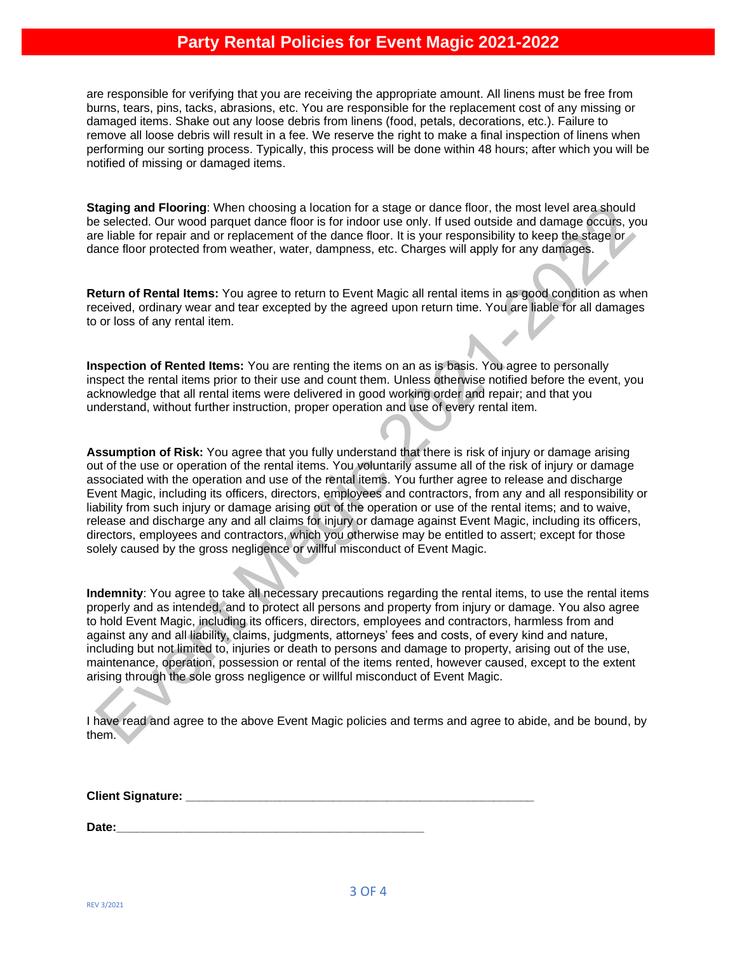## **Party Rental Policies for Event Magic 2021-2022**

are responsible for verifying that you are receiving the appropriate amount. All linens must be free from burns, tears, pins, tacks, abrasions, etc. You are responsible for the replacement cost of any missing or damaged items. Shake out any loose debris from linens (food, petals, decorations, etc.). Failure to remove all loose debris will result in a fee. We reserve the right to make a final inspection of linens when performing our sorting process. Typically, this process will be done within 48 hours; after which you will be notified of missing or damaged items.

**Staging and Flooring**: When choosing a location for a stage or dance floor, the most level area should be selected. Our wood parquet dance floor is for indoor use only. If used outside and damage occurs, you are liable for repair and or replacement of the dance floor. It is your responsibility to keep the stage or dance floor protected from weather, water, dampness, etc. Charges will apply for any damages.

**Return of Rental Items:** You agree to return to Event Magic all rental items in as good condition as when received, ordinary wear and tear excepted by the agreed upon return time. You are liable for all damages to or loss of any rental item.

**Inspection of Rented Items:** You are renting the items on an as is basis. You agree to personally inspect the rental items prior to their use and count them. Unless otherwise notified before the event, you acknowledge that all rental items were delivered in good working order and repair; and that you understand, without further instruction, proper operation and use of every rental item.

**Assumption of Risk:** You agree that you fully understand that there is risk of injury or damage arising out of the use or operation of the rental items. You voluntarily assume all of the risk of injury or damage associated with the operation and use of the rental items. You further agree to release and discharge Event Magic, including its officers, directors, employees and contractors, from any and all responsibility or liability from such injury or damage arising out of the operation or use of the rental items; and to waive, release and discharge any and all claims for injury or damage against Event Magic, including its officers, directors, employees and contractors, which you otherwise may be entitled to assert; except for those solely caused by the gross negligence or willful misconduct of Event Magic.

**Indemnity**: You agree to take all necessary precautions regarding the rental items, to use the rental items properly and as intended, and to protect all persons and property from injury or damage. You also agree to hold Event Magic, including its officers, directors, employees and contractors, harmless from and against any and all liability, claims, judgments, attorneys' fees and costs, of every kind and nature, including but not limited to, injuries or death to persons and damage to property, arising out of the use, maintenance, operation, possession or rental of the items rented, however caused, except to the extent arising through the sole gross negligence or willful misconduct of Event Magic.

I have read and agree to the above Event Magic policies and terms and agree to abide, and be bound, by them.

**Client Signature:**  $\blacksquare$ 

Date: